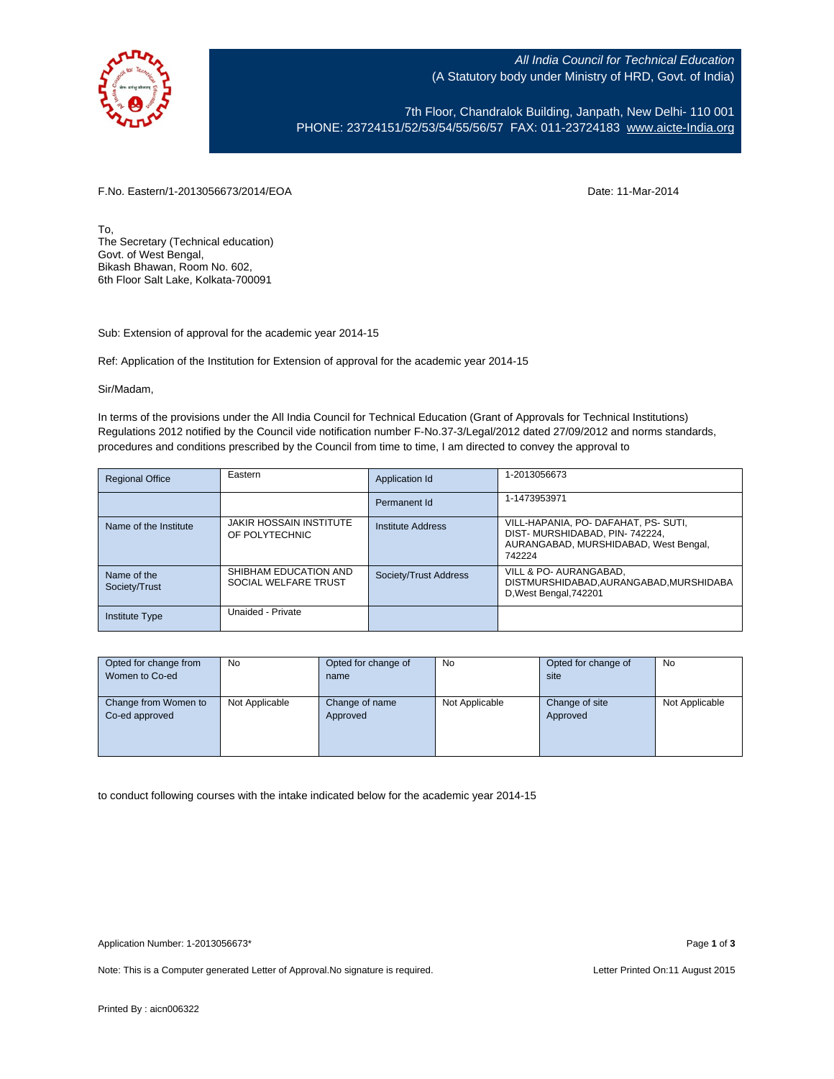

All India Council for Technical Education (A Statutory body under Ministry of HRD, Govt. of India)

7th Floor, Chandralok Building, Janpath, New Delhi- 110 001 PHONE: 23724151/52/53/54/55/56/57 FAX: 011-23724183 [www.aicte-India.org](http://www.aicte-india.org/)

F.No. Eastern/1-2013056673/2014/EOA Date: 11-Mar-2014

To, The Secretary (Technical education) Govt. of West Bengal, Bikash Bhawan, Room No. 602, 6th Floor Salt Lake, Kolkata-700091

Sub: Extension of approval for the academic year 2014-15

Ref: Application of the Institution for Extension of approval for the academic year 2014-15

Sir/Madam,

In terms of the provisions under the All India Council for Technical Education (Grant of Approvals for Technical Institutions) Regulations 2012 notified by the Council vide notification number F-No.37-3/Legal/2012 dated 27/09/2012 and norms standards, procedures and conditions prescribed by the Council from time to time, I am directed to convey the approval to

| <b>Regional Office</b>       | Eastern                                          | Application Id        | 1-2013056673                                                                                                             |
|------------------------------|--------------------------------------------------|-----------------------|--------------------------------------------------------------------------------------------------------------------------|
|                              |                                                  | Permanent Id          | 1-1473953971                                                                                                             |
| Name of the Institute        | <b>JAKIR HOSSAIN INSTITUTE</b><br>OF POLYTECHNIC | Institute Address     | VILL-HAPANIA, PO- DAFAHAT, PS- SUTI,<br>DIST-MURSHIDABAD, PIN-742224,<br>AURANGABAD, MURSHIDABAD, West Bengal,<br>742224 |
| Name of the<br>Society/Trust | SHIBHAM EDUCATION AND<br>SOCIAL WELFARE TRUST    | Society/Trust Address | VILL & PO- AURANGABAD,<br>DISTMURSHIDABAD, AURANGABAD, MURSHIDABA<br>D, West Bengal, 742201                              |
| <b>Institute Type</b>        | Unaided - Private                                |                       |                                                                                                                          |

| Opted for change from | <b>No</b>      | Opted for change of | <b>No</b>      | Opted for change of | <b>No</b>      |
|-----------------------|----------------|---------------------|----------------|---------------------|----------------|
| Women to Co-ed        |                | name                |                | site                |                |
|                       |                |                     |                |                     |                |
| Change from Women to  | Not Applicable | Change of name      | Not Applicable | Change of site      | Not Applicable |
| Co-ed approved        |                | Approved            |                | Approved            |                |
|                       |                |                     |                |                     |                |
|                       |                |                     |                |                     |                |
|                       |                |                     |                |                     |                |

to conduct following courses with the intake indicated below for the academic year 2014-15

Note: This is a Computer generated Letter of Approval. No signature is required. Letter Printed On:11 August 2015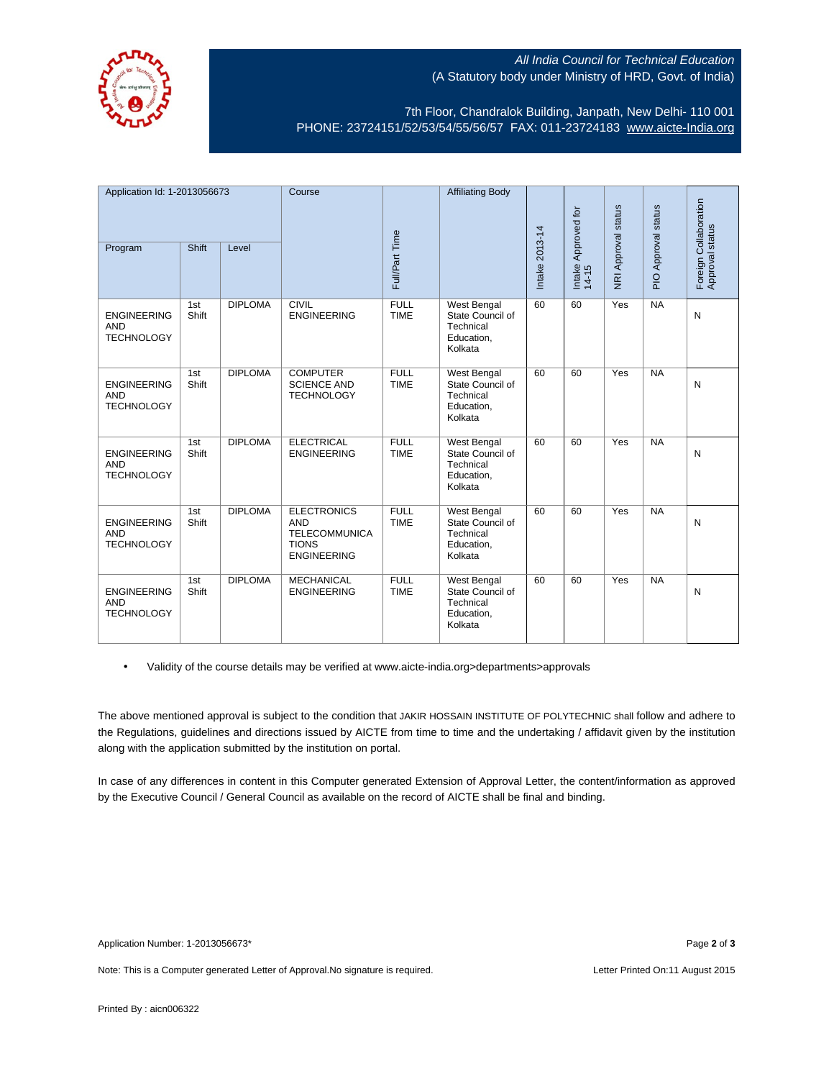

## All India Council for Technical Education (A Statutory body under Ministry of HRD, Govt. of India)

7th Floor, Chandralok Building, Janpath, New Delhi- 110 001 PHONE: 23724151/52/53/54/55/56/57 FAX: 011-23724183 [www.aicte-India.org](http://www.aicte-india.org/)

| Application Id: 1-2013056673                          |              | Course         |                                                                                                | <b>Affiliating Body</b>    |                                                                              | Approved for   |                            |                     |                     |                                          |
|-------------------------------------------------------|--------------|----------------|------------------------------------------------------------------------------------------------|----------------------------|------------------------------------------------------------------------------|----------------|----------------------------|---------------------|---------------------|------------------------------------------|
| Program                                               | Shift        | Level          |                                                                                                | Full/Part Time             |                                                                              | Intake 2013-14 | Intake $\overline{14}$ -15 | NRI Approval status | PIO Approval status | Foreign Collaboration<br>Approval status |
| <b>ENGINEERING</b><br><b>AND</b><br><b>TECHNOLOGY</b> | 1st<br>Shift | <b>DIPLOMA</b> | <b>CIVIL</b><br><b>ENGINEERING</b>                                                             | <b>FULL</b><br><b>TIME</b> | West Bengal<br>State Council of<br>Technical<br>Education,<br>Kolkata        | 60             | 60                         | Yes                 | <b>NA</b>           | N                                        |
| <b>ENGINEERING</b><br><b>AND</b><br><b>TECHNOLOGY</b> | 1st<br>Shift | <b>DIPLOMA</b> | <b>COMPUTER</b><br><b>SCIENCE AND</b><br><b>TECHNOLOGY</b>                                     | <b>FULL</b><br><b>TIME</b> | West Bengal<br>State Council of<br>Technical<br>Education,<br>Kolkata        | 60             | 60                         | Yes                 | NA                  | N                                        |
| <b>ENGINEERING</b><br><b>AND</b><br><b>TECHNOLOGY</b> | 1st<br>Shift | <b>DIPLOMA</b> | <b>ELECTRICAL</b><br><b>ENGINEERING</b>                                                        | <b>FULL</b><br><b>TIME</b> | <b>West Bengal</b><br>State Council of<br>Technical<br>Education,<br>Kolkata | 60             | 60                         | Yes                 | <b>NA</b>           | N                                        |
| <b>ENGINEERING</b><br><b>AND</b><br><b>TECHNOLOGY</b> | 1st<br>Shift | <b>DIPLOMA</b> | <b>ELECTRONICS</b><br><b>AND</b><br><b>TELECOMMUNICA</b><br><b>TIONS</b><br><b>ENGINEERING</b> | <b>FULL</b><br><b>TIME</b> | West Bengal<br>State Council of<br>Technical<br>Education,<br>Kolkata        | 60             | 60                         | Yes                 | <b>NA</b>           | N                                        |
| <b>ENGINEERING</b><br><b>AND</b><br><b>TECHNOLOGY</b> | 1st<br>Shift | <b>DIPLOMA</b> | <b>MECHANICAL</b><br><b>ENGINEERING</b>                                                        | <b>FULL</b><br><b>TIME</b> | West Bengal<br>State Council of<br>Technical<br>Education,<br>Kolkata        | 60             | 60                         | Yes                 | NA                  | N                                        |

• Validity of the course details may be verified at www.aicte-india.org>departments>approvals

The above mentioned approval is subject to the condition that JAKIR HOSSAIN INSTITUTE OF POLYTECHNIC shall follow and adhere to the Regulations, guidelines and directions issued by AICTE from time to time and the undertaking / affidavit given by the institution along with the application submitted by the institution on portal.

In case of any differences in content in this Computer generated Extension of Approval Letter, the content/information as approved by the Executive Council / General Council as available on the record of AICTE shall be final and binding.

Note: This is a Computer generated Letter of Approval. No signature is required. Letter Printed On:11 August 2015